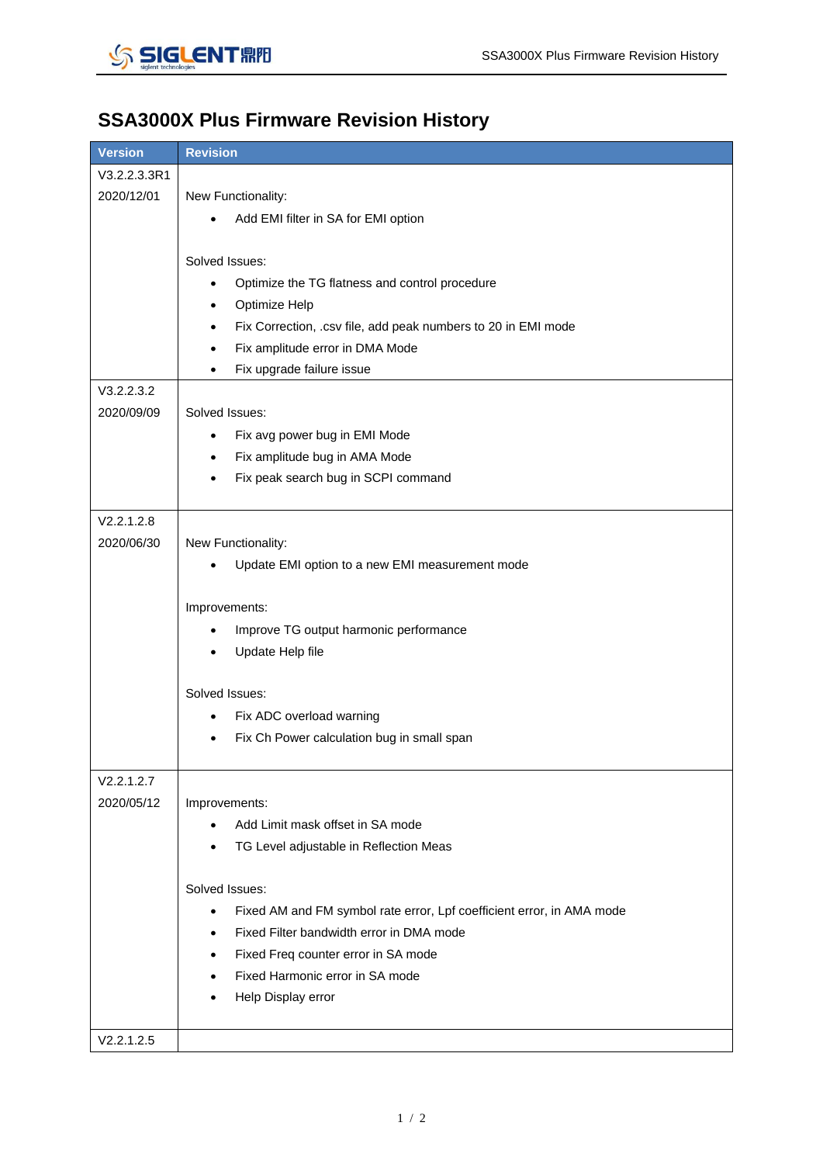

## **SSA3000X Plus Firmware Revision History**

| <b>Version</b> | <b>Revision</b>                                                                    |
|----------------|------------------------------------------------------------------------------------|
| V3.2.2.3.3R1   |                                                                                    |
| 2020/12/01     | New Functionality:                                                                 |
|                | Add EMI filter in SA for EMI option                                                |
|                |                                                                                    |
|                | Solved Issues:                                                                     |
|                | Optimize the TG flatness and control procedure<br>٠                                |
|                | Optimize Help<br>٠                                                                 |
|                | Fix Correction, .csv file, add peak numbers to 20 in EMI mode<br>٠                 |
|                | Fix amplitude error in DMA Mode                                                    |
|                | Fix upgrade failure issue<br>٠                                                     |
| V3.2.2.3.2     |                                                                                    |
| 2020/09/09     | Solved Issues:                                                                     |
|                | Fix avg power bug in EMI Mode<br>$\bullet$                                         |
|                | Fix amplitude bug in AMA Mode<br>$\bullet$                                         |
|                | Fix peak search bug in SCPI command<br>$\bullet$                                   |
|                |                                                                                    |
| V2.2.1.2.8     |                                                                                    |
| 2020/06/30     | New Functionality:                                                                 |
|                | Update EMI option to a new EMI measurement mode                                    |
|                |                                                                                    |
|                | Improvements:                                                                      |
|                | Improve TG output harmonic performance                                             |
|                | Update Help file                                                                   |
|                | Solved Issues:                                                                     |
|                | Fix ADC overload warning<br>$\bullet$                                              |
|                | Fix Ch Power calculation bug in small span                                         |
|                |                                                                                    |
| V2.2.1.2.7     |                                                                                    |
| 2020/05/12     | Improvements:                                                                      |
|                | Add Limit mask offset in SA mode                                                   |
|                | TG Level adjustable in Reflection Meas                                             |
|                | Solved Issues:                                                                     |
|                | Fixed AM and FM symbol rate error, Lpf coefficient error, in AMA mode<br>$\bullet$ |
|                | Fixed Filter bandwidth error in DMA mode                                           |
|                | Fixed Freq counter error in SA mode                                                |
|                | Fixed Harmonic error in SA mode                                                    |
|                | Help Display error                                                                 |
|                |                                                                                    |
| V2.2.1.2.5     |                                                                                    |